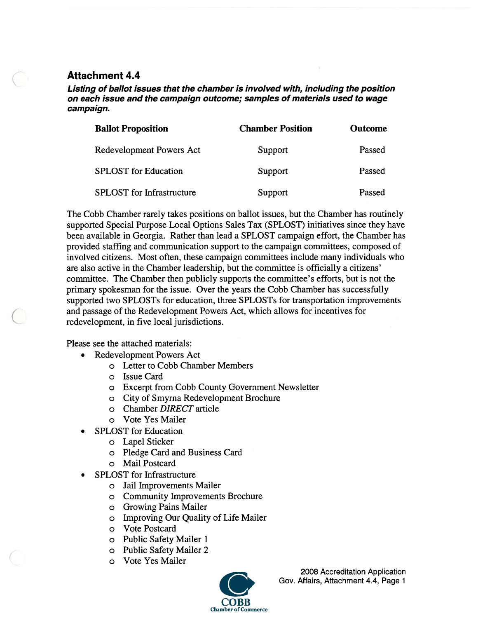#### Attachment 4.4

Listing of ballot issues that the chamber is involved with, including the position on each issue and the campaign outcome; samples of materials used to wage campaign.

| <b>Ballot Proposition</b>        | <b>Chamber Position</b> | <b>Outcome</b> |
|----------------------------------|-------------------------|----------------|
| Redevelopment Powers Act         | Support                 | Passed         |
| <b>SPLOST</b> for Education      | Support                 | Passed         |
| <b>SPLOST</b> for Infrastructure | Support                 | Passed         |

The Cobb Chamber rarely takes positions on ballot issues, but the Chamber has routinely supported Special Purpose Local Options Sales Tax (SPLOST) initiatives since they have been available in Georgia. Rather than lead <sup>a</sup> SPLOST campaign effort, the Chamber has provided staffing and communication suppor<sup>t</sup> to the campaign committees, composed of involved citizens. Most often, these campaign committees include many individuals who are also active in the Chamber leadership, but the committee is officially <sup>a</sup> citizens' committee. The Chamber then publicly supports the committee's efforts, but is not the primary spokesman for the issue. Over the years the Cobb Chamber has successfully supported two SPLOSTs for education, three SPLOSTs for transportation improvements and passage of the Redevelopment Powers Act, which allows for incentives for redevelopment, in five local jurisdictions.

Please see the attached materials:

- Redevelopment Powers Act
	- <sup>o</sup> Letter to Cobb Chamber Members
	- <sup>o</sup> Issue Card
	- <sup>o</sup> Excerpt from Cobb County Government Newsletter
	- <sup>o</sup> City of Smyrna Redevelopment Brochure
	- <sup>o</sup> Chamber DIRECT article
	- <sup>o</sup> Vote Yes Mailer
- • SPLOST for Education
	- <sup>o</sup> Lapel Sticker
	- <sup>o</sup> Pledge Card and Business Card
	- <sup>o</sup> Mail Postcard
- • SPLOST for Infrastructure
	- <sup>o</sup> Jail Improvements Mailer
	- <sup>o</sup> Community Improvements Brochure
	- <sup>o</sup> Growing Pains Mailer
	- <sup>o</sup> Improving Our Quality of Life Mailer
	- <sup>o</sup> Vote Postcard
	- <sup>o</sup> Public Safety Mailer 1
	- <sup>o</sup> Public Safety Mailer 2
	- <sup>o</sup> Vote Yes Mailer



2008 Accreditation Application Gov. Affairs, Attachment 4.4, Page 1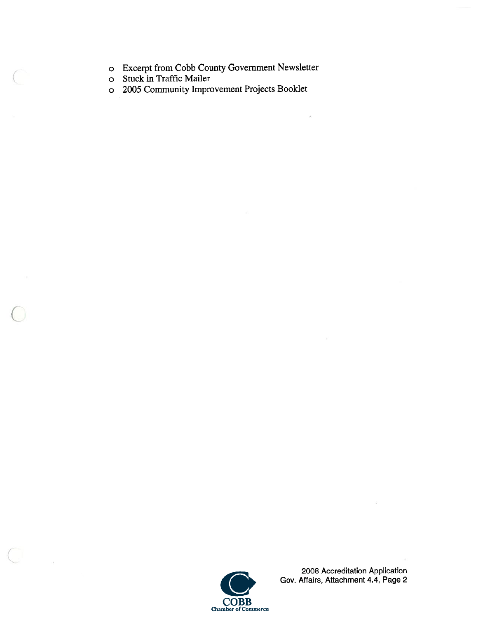- <sup>o</sup> Excerpt from Cobb County Government Newsletter
- <sup>o</sup> Stuck in Traffic Mailer
- <sup>o</sup> 2005 Community Improvement Projects Booklet



 $\frac{1}{2}$ 

2008 Accreditation Application Gov. Affairs, Attachment 4.4, Page 2

 $\widetilde{\mathcal{L}}$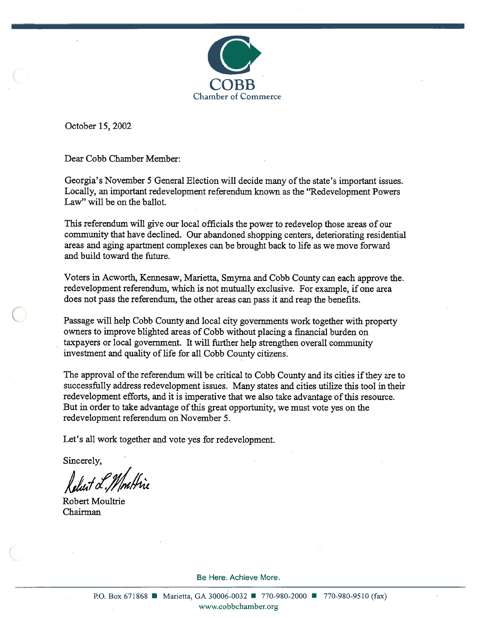

October 15, 2002

Dear Cobb Chamber Member:

Georgia's November 5 General Election will decide many of the state's important issues. Locally, an important redevelopment referendum known as the "Redevelopment Powers Law" will be on the ballot.

This referendum will give our local officials the power to redevelop those areas of our community that have declined. Our abandoned shopping centers, deteriorating residential areas and aging apartment complexes can be brought back to life as we move forward and build toward the future.

Voters in Acworth, Kennesaw, Marietta, Smyma and Cobb County can each approve the. redevelopment referendum, which is not mutually exclusive. For example, if one area does not pass the referendum, the other areas can pass it and reap the benefits.

Passage will help Cobb County and local city governments work together with property owners to improve blighted areas of Cobb without placing <sup>a</sup> financial burden on taxpayers or local government. It will further help strengthen overall community investment and quality of life for all Cobb County citizens.

The approval of the referendum will be critical to Cobb County and its cities if they are to successfully address redevelopment issues. Many states and cities utilize this tool in their redevelopment efforts, and it is imperative that we also take advantage ofthis resource. But in order to take advantage of this great opportunity, we must vote yes on the redevelopment referendum on November 5.

Let's all work together and vote yes for redevelopment.

Sincerely,

Robert Moultrie Chairman

Be Here. Achieve More.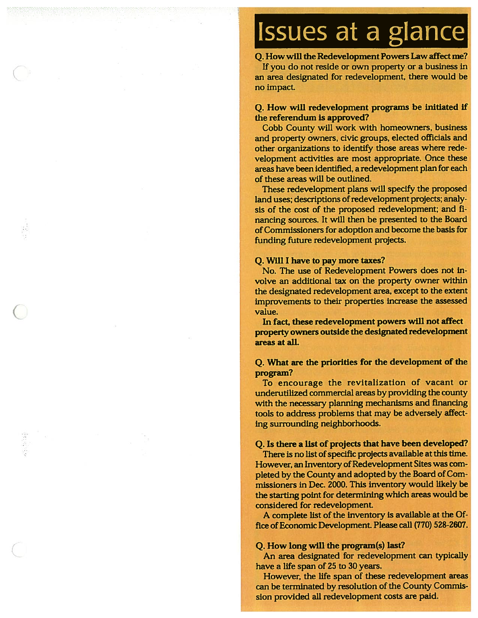## Issues at <sup>a</sup> glance

Q. How will the Redevelopment Powers Law affect me? If you do not reside or own property or <sup>a</sup> business In an area designated for redevelopment, there would be no impact.

#### Q. How will redevelopment programs be Initiated If the referendum Is approved?

Cobb County will work with homeowners, business and property owners, civic groups, elected officials and other organizations to identify those areas where rede velopment activities are most appropriate. Once these areas have been identified, <sup>a</sup> redevelopment plan for each of these areas will be outlined.

These redevelopment plans will specify the proposed land uses; descriptions of redevelopment projects; analysis of the cost of the proposed redevelopment; and fi nancing sources. It will then be presented to the Board ofCommissioners for adoption and become the basis for funding future redevelopment projects.

#### Q. Will <sup>I</sup> have to pay more taxes?

No. The use of Redevelopment Powers does not in volve an additional tax on the property owner within the designated redevelopment area, excep<sup>t</sup> to the extent Improvements to their properties increase the assessed value.

In fact, these redevelopment powers will not affect property owners outside the designated redevelopment areas at all.

#### Q. What are the priorifies for the development of the program?

To encourage the revitalization of vacant or underutilized commercial areas by providing the county with the necessary planning mechanisms and financing tools to address problems that may be adversely affect ing surrounding neighborhoods.

#### Q. Is there <sup>a</sup> list of projects that have been developed?

There is no list of specific projects available at this time. However, an Inventory of Redevelopment Sites was completed by the County and adopted by the Board of Commissioners in Dec. 2000. This inventory would likely be the starting point for determining which areas would be considered for redevelopment.

<sup>A</sup> complete list of the Inventory is available at the Of fice of Economic Development. Please call (770) 528-2607.

#### Q. How long will the program(s) last?

An area designated for redevelopment can typically have <sup>a</sup> life span of 25 to 30 years.

However, the life span of these redevelopment areas can be terminated by resolution of the County Commis sion provided all redevelopment costs are paid.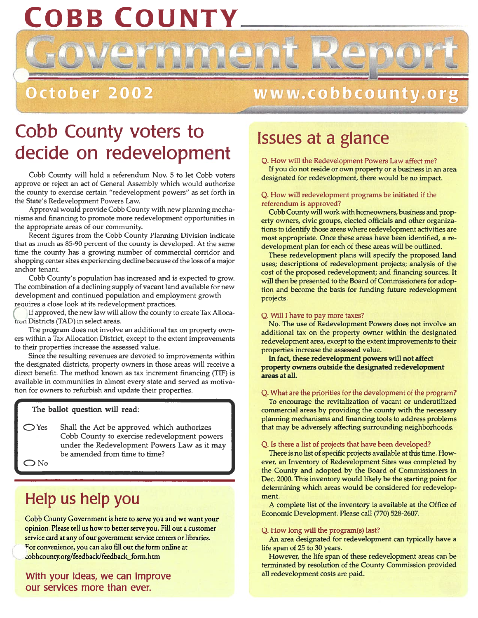## OBB COUNTY.

## October 2002

### w w w . c o b b c o u n t y . o r

## Co • b County voters to decide on redevelopment

Cobb County will hold <sup>a</sup> referendum Nov. 5 to let Cobb voters approve or reject an act of General Assembly which would authorize the county to exercise certain "redevelopment powers" as set forth in the State's Redevelopment Powers Law.

Approval would provide Cobb County with new planning mecha nisms and financing to promote more redevelopment opportunities in the appropriate areas of our community.

Recent figures from the Cobb County Planning Division indicate that as much as 85-90 percen<sup>t</sup> of the county is developed. At the same time the county has <sup>a</sup> growing number of commercial corridor and shopping center sites experiencing decline because of the loss of <sup>a</sup> major anchor tenant.

Cobb County's population has increased and is expected to grow. The combination of <sup>a</sup> declining supply of vacant land available for new development and continued population and employment growth reçuires <sup>a</sup> close look at its redevelopment practices.

If approved, the new law will allow the county to create Tax Alloca tron Districts (TAD) in select areas.

The program does not involve an additional tax on property own ers within <sup>a</sup> Tax Allocation District, excep<sup>t</sup> to the extent improvements to their properties increase the assessed value.

Since the resulting revenues are devoted to improvements within the designated districts, property owners in those areas will receive <sup>a</sup> direct benefit. The method known as tax increment financing (TIF) is available in communities in almost every state and served as motiva tion for owners to refurbish and update their properties.

#### The ballot question will read:

 $\supset$  Yes Shall the Act be approved which authorizes Cobb County to exercise redevelopment powers under the Redevelopment Powers Law as it may be amended from time to time?

No

### Help us help you

Cobb County Government is here to serve you and we want your opinion. Please tell us how to better serve you. Fill out <sup>a</sup> customer service card at any of our government service centers or libraries. For convenience, you can also fill out the form online at obbcounty.org/feedback/feedback\_form.htm

With your ideas, we can improve our services more than ever.

## Issues at <sup>a</sup> glance

Q. How will the Redevelopment Powers Law affect me?

If you do not reside or own property or <sup>a</sup> business in an area designated for redevelopment, there would be no impact.

#### Q. How will redevelopment programs be initiated if the referendum is approved?

Cobb County will work with homeowners, business and prop erty owners, civic groups, elected officials and other organiza tions to identify those areas where redevelopment activities are most appropriate. Once these areas have been identified, <sup>a</sup> re development plan for each of these areas will be outlined.

These redevelopment plans will specify the proposed land uses; descriptions of redevelopment projects; analysis of the cost of the proposed redevelopment; and financing sources. It will then be presented to the Board of Commissioners for adop tion and become the basis for funding future redevelopment projects.

#### Q. Will <sup>I</sup> have to pay more taxes?

No. The use of Redevelopment Powers does not involve an additional tax on the property owner within the designated redevelopment area, excep<sup>t</sup> to the extent improvements to their properties increase the assessed value.

In fact, these redevelopment powers will not affect property owners outside the designated redevelopment areas at all.

#### Q. What are the priorities for the development of the program?

To encourage the revitalization of vacant or underutilized commercial areas by providing the county with the necessary planning mechanisms and financing tools to address problems that may be adversely affecting surrounding neighborhoods.

#### Q. Is there <sup>a</sup> list of projects that have been developed?

There is no list of specific projects available at this time. How ever, an Inventory of Redevelopment Sites was completed by the County and adopted by the Board of Commissioners in Dec. 2000. This inventory would likely be the starting point for determining which areas would be considered for redevelop ment.

A complete list of the inventory is available at the Office of Economic Development. Please call (770) 528-2607.

#### Q. How long will the program(s) last?

An area designated for redevelopment can typically have <sup>a</sup> life span of 25 to 30 years.

However, the life span of these redevelopment areas can be terminated by resolution of the County Commission provided all redevelopment costs are paid.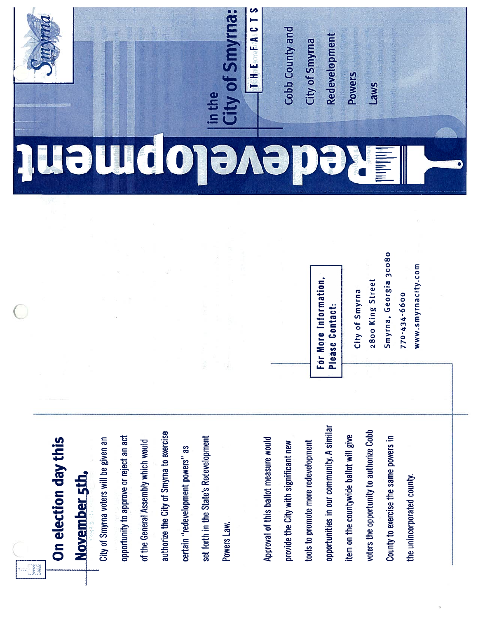

# On election day this On election day this November 5th,

set forth in the State's Redevelopment in the state's Redevelopment in the intervention of the state in the state of the state of the state of the state of the state of the state of the state of the state of the state of t authorize the City of Smyrna to exercise authorize the City of Smyrna to exercise opportunity to approve or reject an act set forth in the State's Redevelopment City of Smyrna voters will be given an opportunity to approve or reject an act of the General Assembly which would City of Smyrna voters will be given an of the General Assembly which would certain "redevelopment powers" as certain "redevelopment powers" as in "redevelonment nowers"<br>'' Powers Law.

opportunities in our community. A similar opportunities in our community. A similar voters the opportunity to authorize Cobb voters the opportunity to authorize Cobb item on the countywide ballot will give County to exercise the same powers in Approval of this ballot measure would item on the countywide ballot will give County to exercise the same powers in Approval of this ballot measure would tools to promote more redevelopment provide the City with significant new tools to promote more redevelopment provide the City with significant new the unincorporated county. the unincorporated county.

For More Information, For More Information, Please Contact: • Please Contact:

City of Smyrna City of Smyrna

2800 King Street 2800 King Street

Smyrna, Georgia 30080 Smyrna, Georgia 30080

770-434-6600 770-434-6600

www.smyrnacity.com www. sm yrn a city. corn

## do **The Market I IN A**



Cobb County and Cobb County and

City of Smyrna City of Smyrna

Redevelopment **Redevelopment** 

Powers

Laws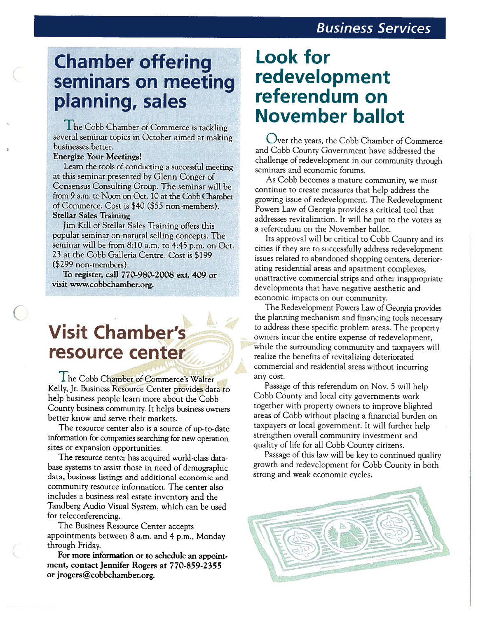## **Chamber offering** seminars on meeting planning, sales

The Cobb Chamber of Commerce is tackling several seminar topics in October aimed at making businesses better.

#### **Energize Your Meetings!**

Learn the tools of conducting a successful meeting at this seminar presented by Glenn Conger of Consensus Consulting Group. The seminar will be from 9 a.m. to Noon on Oct. 10 at the Cobb Chamber of Commerce. Cost is \$40 (\$55 non-members). **Stellar Sales Training** 

Jim Kill of Stellar Sales Training offers this popular seminar on natural selling concepts. The seminar will be from 8:10 a.m. to 4:45 p.m. on Oct. 23 at the Cobb Galleria Centre. Cost is \$199  $($299$  non-members).

To register, call 770-980-2008 ext. 409 or visit www.cobbchamber.org.

## **Visit Chamber's** resource center

The Cobb Chamber of Commerce's Walter Kelly, Jr. Business Resource Center provides data to help business people learn more about the Cobb County business community. It helps business owners better know and serve their markets.

The resource center also is a source of up-to-date information for companies searching for new operation sites or expansion opportunities.

The resource center has acquired world-class database systems to assist those in need of demographic data, business listings and additional economic and community resource information. The center also includes a business real estate inventory and the Tandberg Audio Visual System, which can be used for teleconferencing.

The Business Resource Center accepts appointments between 8 a.m. and 4 p.m., Monday through Friday.

For more information or to schedule an appointment, contact Jennifer Rogers at 770-859-2355 or jrogers@cobbchamber.org.

## **Look for** redevelopment referendum on **November ballot**

Over the years, the Cobb Chamber of Commerce and Cobb County Government have addressed the challenge of redevelopment in our community through seminars and economic forums.

As Cobb becomes a mature community, we must continue to create measures that help address the growing issue of redevelopment. The Redevelopment Powers Law of Georgia provides a critical tool that addresses revitalization. It will be put to the voters as a referendum on the November ballot.

Its approval will be critical to Cobb County and its cities if they are to successfully address redevelopment issues related to abandoned shopping centers, deteriorating residential areas and apartment complexes, unattractive commercial strips and other inappropriate developments that have negative aesthetic and economic impacts on our community.

The Redevelopment Powers Law of Georgia provides the planning mechanism and financing tools necessary to address these specific problem areas. The property owners incur the entire expense of redevelopment, while the surrounding community and taxpayers will realize the benefits of revitalizing deteriorated commercial and residential areas without incurring any cost.

Passage of this referendum on Nov. 5 will help Cobb County and local city governments work together with property owners to improve blighted areas of Cobb without placing a financial burden on taxpayers or local government. It will further help strengthen overall community investment and quality of life for all Cobb County citizens.

Passage of this law will be key to continued quality growth and redevelopment for Cobb County in both strong and weak economic cycles.

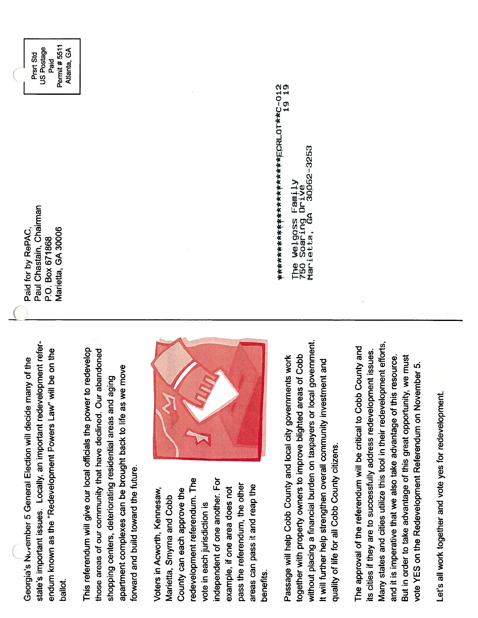state's important issues. Locally, an important redevelopment referstate's important issues. Locally, an important redevelopment refer endum known as the "Redevelopment Powers Law" will be on the endum known as the "Redevelopment Powers Law" will be on the Georgia's Nuvember 5 General Election will decide many of the Georgia's Nuvember 5 General Election will decide many of the ballot.

This referendum will give our local officials the power to redevelop This referendum will give our local officials the power to redevelop those areas of our community that have declined. Our abandoned those areas of our community that have declined. Our abandoned apartment complexes can be brought back to life as we move apartment complexes can be brought back to life as we move shopping centers, deteriorating residential areas and aging shopping centers, deteriorating residential areas and aging forward and build toward the future. forward and build toward the future.

redevelopment referendum. The independent of one another. For independent of one another. For redevelopment referendum. The pass the referendum, the other pass the referendum, the other areas can pass it and reap the example, if one area does not areas can pass it and reap the Voters in Acworth, Kennesaw, County can each approve the example, if one area does not Voters in Acworth, Kennesaw, County can each approve the Marietta, Smyrna and Cobb Marietta, Smyrna and Cobb vote in each jurisdiction is vote in each jurisdiction is benefits.



without placing a financial burden on taxpayers or local government. without placing a financial burden on taxpayers or local government. together with property owners to improve blighted areas of Cobb Passage will help Cobb County and local city governments work together with property owners to improve blighted areas of Cobb Passage will help Cobb County and local city governments work It will further help strengthen overall community investment and It will further help strengthen overall community investment and quality of life for all Cobb County citizens. quality of life for all Cobb County citizens.

Many states and cities utilize this tool in their redevelopment efforts, Many states and cities utilize this tool in their redevelopment efforts, The approval of the referendum will be critical to Cobb County and The approval of the referendum will be critical to Cobb County and its cities if they are to successfully address redevelopment issues. its cities if they are to successfully address redevelopment issues. and it is imperative that we also take advantage of this resource. But in order to take advantage of this great opportunity, we must and it is imperative that we also take advantage of this resource. But in order to take advantage of this great opportunity, we must vote YES on the Redevelopment Referendum on November 5. vote YES on the Redevelopment Referendum on November 5.

Let's all work together and vote yes for redevelopment. Let's all work together and vote yes for redevelopment.

Paid for by RePAC,<br>Paul Chastain, Chairman<br>P.O. Box 671868 I Paid Postage I Paid I Paid I Paid I Paid I Paid I Paid I Paid I Paul Chastain, Chairman Paid for by RePAC, Marietta, GA 30006 Marietta, GA 30006 P.O. Box 671868

**Permit #5511** Prsrt Std<br>US Postage Permit #5511 Atlanta, GA Paid

12 19 1-9 flie Weoss Farn4y

30062-3253 Marietta, GA 30p62-3253 The Welgoss Family<br>750 Soaring Drive<br>Marietta, GA 3006 750 soaring Drive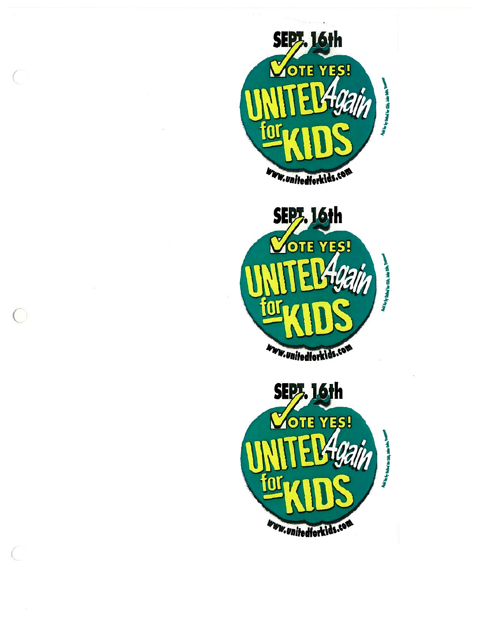



 $\bigcirc$ 

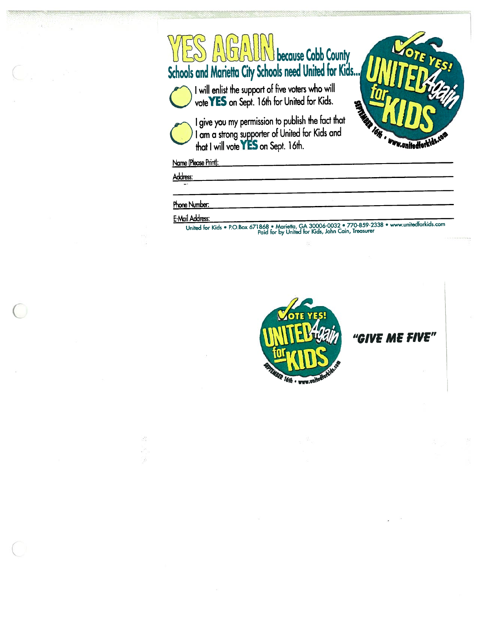# WES AUGALIN because Cobb County Schools and Marietta City Schools need United for Kids.,, UNITED 23



I will enlist the support of five voters who will<br>vote YES on Sept. 16th for United for Kids.<br>I give you my permission to publish the fact that





I am a strong supporter of United for Kids and that I will vote YES on Sept. 16th.

Name (Please Print):

Address:

#### Phone Number:

#### E-Mail Address:

United for Kids • P.O.Box <sup>671868</sup> • Marietta, GA 30006-0032 • 770-859-2338 • www.unitedforlcids.com Paid for by United for Kids, John Cain, Treasurer



"GIVE ME FIVE"